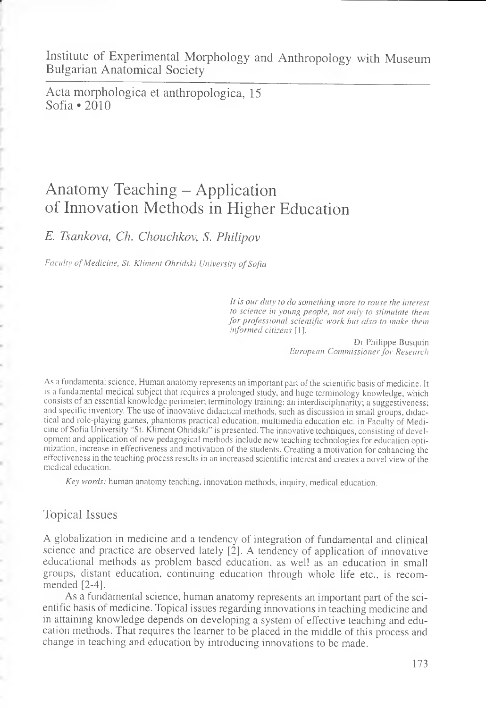Institute of Experimental Morphology and Anthropology with Museum Bulgarian Anatomical Society

Acta morphologica et anthropologica, 15 Sofia \*2010

# Anatomy Teaching - Application of Innovation Methods in Higher Education

*E. Tsankova, Ch. Chouchkov, S. Philipov*

*Faculty of Medicine, St. Kliment Ohridski University of Sofia*

*It is our duty to do something more to rouse the interest to science in young people, not only to stimulate them for professional scientific work but also to make them informed citizens* [1].

> Dr Philippe Busquin *European Commissioner for Research*

Asa fundamental science, Human anatomy represents an important part of the scientific basis of medicine. It is a fundamental medical subject that requires a prolonged study, and huge terminology knowledge, which consists of an essential knowledge perimeter; terminology training; an interdisciplinarity; a suggestiveness; and specific inventory. The use of innovative didactical methods, such as discussion in small groups, didactical and role-playing games, phantoms practical education, multimedia education etc. in Faculty of Medicine of Sofia University "St. Kliment Ohridski" is presented. The innovative techniques, consisting of development and application of new pedagogical methods include new teaching technologies for education optimization, increase in effectiveness and motivation of the students. Creating a motivation for enhancing the effectiveness in the teaching process results in an increased scientific interest and creates a novel view of the medical education.

*Key words:* human anatomy teaching, innovation methods, inquiry, medical education.

## Topical Issues

ś

ł

A globalization in medicine and a tendency of integration of fundamental and clinical science and practice are observed lately [2]. A tendency of application of innovative educational methods as problem based education, as well as an education in small groups, distant education, continuing education through whole life etc., is recommended [2-4].

As a fundamental science, human anatomy represents an important part of the scientific basis of medicine. Topical issues regarding innovations in teaching medicine and in attaining knowledge depends on developing a system of effective teaching and education methods. That requires the learner to be placed in the middle of this process and change in teaching and education by introducing innovations to be made.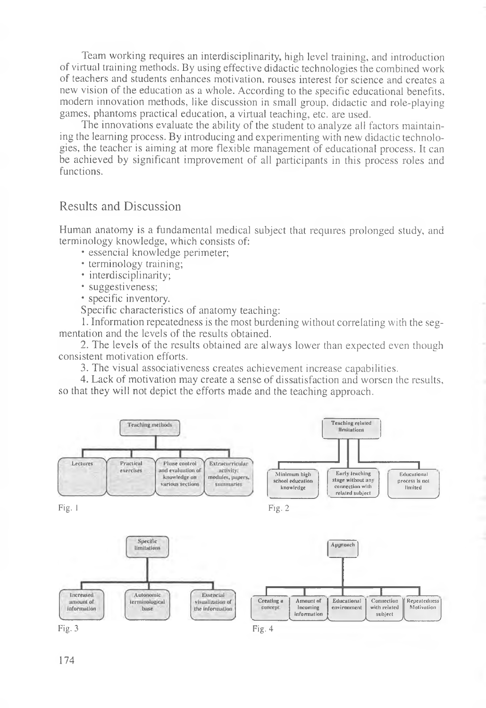Team working requires an interdisciplinarity, high level training, and introduction of virtual training methods. By using effective didactic technologies the combined work of teachers and students enhances motivation, rouses interest for science and creates a new vision of the education as a whole. According to the specific educational benefits, modern innovation methods, like discussion in small group, didactic and role-playing games, phantoms practical education, a virtual teaching, etc. are used.

The innovations evaluate the ability of the student to analyze all factors maintaining the learning process. By introducing and experimenting with new didactic technologies, the teacher is aiming at more flexible management of educational process. It can be achieved by significant improvement of all participants in this process roles and functions.

### Results and Discussion

Human anatomy is a fundamental medical subject that requires prolonged study, and terminology knowledge, which consists of:

- essencial knowledge perimeter;
- terminology training;
- interdisciplinarity;
- suggestiveness;
- specific inventory.

Specific characteristics of anatomy teaching:

1. Information repeatedness is the most burdening without correlating with the segmentation and the levels of the results obtained.

2. The levels of the results obtained are always lower than expected even though consistent motivation efforts.

3. The visual associativeness creates achievement increase capabilities.

4. Lack of motivation may create a sense of dissatisfaction and worsen the results, so that they will not depict the efforts made and the teaching approach.

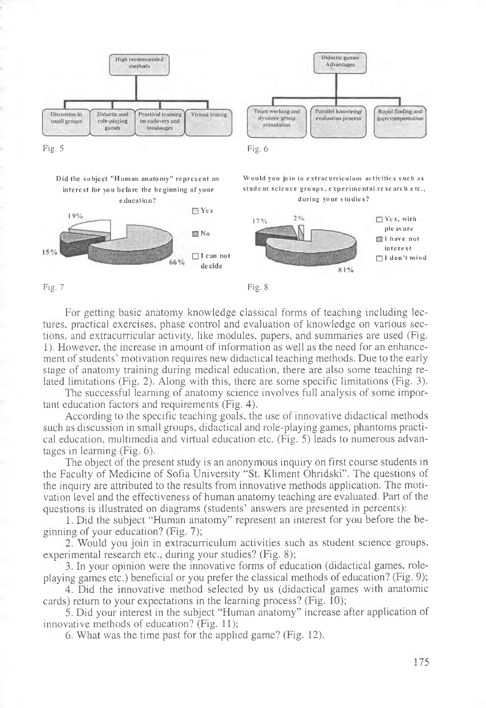

Did the subject "Human anatomy" represent an interest for you before the beginning of your **e** ducation?

19% **D** Yes

Would you join in extracurriculum activities such as student science groups, experimental research etc., during your studies?



Fig.  $7$  Fig. 8

For getting basic anatomy knowledge classical forms of teaching including lectures, practical exercises, phase control and evaluation of knowledge on various sections, and extracurricular activity, like modules, papers, and summaries are used (Fig. 1). However, the increase in amount of information as well as the need for an enhancement of students' motivation requires new didactical teaching methods. Due to the early stage of anatomy training during medical education, there are also some teaching related limitations (Fig. 2). Along with this, there are some specific limitations (Fig. 3).

 **No**

66%

□ I can not **d e c id e**

The successful learning of anatomy science involves full analysis of some important education factors and requirements (Fig. 4).

According to the specific teaching goals, the use of innovative didactical methods such as discussion in small groups, didactical and role-playing games, phantoms practical education, multimedia and virtual education etc. (Fig. 5) leads to numerous advantages in learning  $(Fig, 6)$ .

The object of the present study is an anonymous inquiry on first course students in the Faculty of Medicine of Sofia University "St. Kliment Ohridski". The questions of the inquiry are attributed to the results from innovative methods application. The motivation level and the effectiveness of human anatomy teaching are evaluated. Part of the questions is illustrated on diagrams (students' answers are presented in percents):

1. Did the subject "Human anatomy" represent an interest for you before the beginning of your education? (Fig. 7);

2. Would you join in extracurriculum activities such as student science groups, experimental research etc., during your studies? (Fig. 8);

3. In your opinion were the innovative forms of education (didactical games, roleplaying games etc.) beneficial or you prefer the classical methods of education? (Fig. 9);

4. Did the innovative method selected by us (didactical games with anatomic cards) return to your expectations in the learning process? (Fig. 10);

5. Did your interest in the subject "Human anatomy" increase after application of innovative methods of education? (Fig. 11);

6 . What was the time past for the applied game? (Fig. 12).

175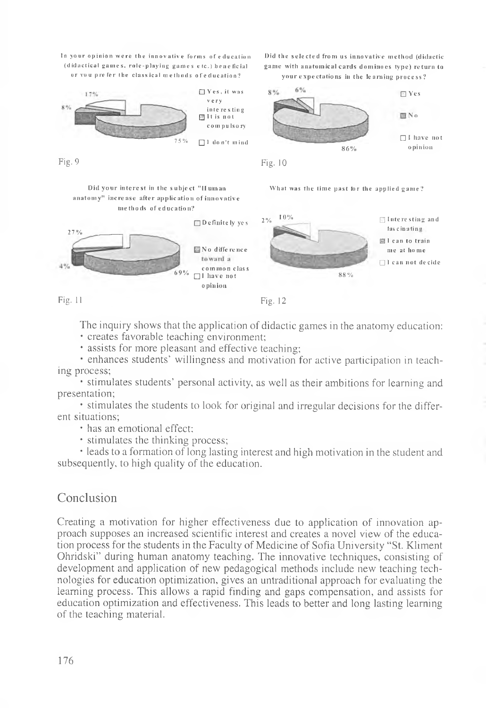In your opinion were the innovative forms of education (didactical games, role-playing games etc.) beneficial or you prefer the classical methods of education?



Did your interest in the subject "II uman What was the time past for the applied game? anatomy" increase after application of innovative me tho ds of education?





Fig. 11 Fig. 12

The inquiry shows that the application of didactic games in the anatomy education: • creates favorable teaching environment;

• assists for more pleasant and effective teaching;

• enhances students' willingness and motivation for active participation in teaching process;

• stimulates students' personal activity, as well as their ambitions for learning and presentation;

• stimulates the students to look for original and irregular decisions for the different situations;

• has an emotional effect;

• stimulates the thinking process;

• leads to a formation of long lasting interest and high motivation in the student and subsequently, to high quality of the education.

### Conclusion

Creating a motivation for higher effectiveness due to application of innovation approach supposes an increased scientific interest and creates a novel view of the education process for the students in the Faculty of Medicine of Sofia University "St. Kliment Ohridski" during human anatomy teaching. The innovative techniques, consisting of development and application of new pedagogical methods include new teaching technologies for education optimization, gives an untraditional approach for evaluating the learning process. This allows a rapid finding and gaps compensation, and assists for education optimization and effectiveness. This leads to better and long lasting learning of the teaching material.

Did the selected from us innovative method (didactic game with anatomical cards dominoes type) return to

your expectations in the learning process?



Fig. 9  $Fig. 10$